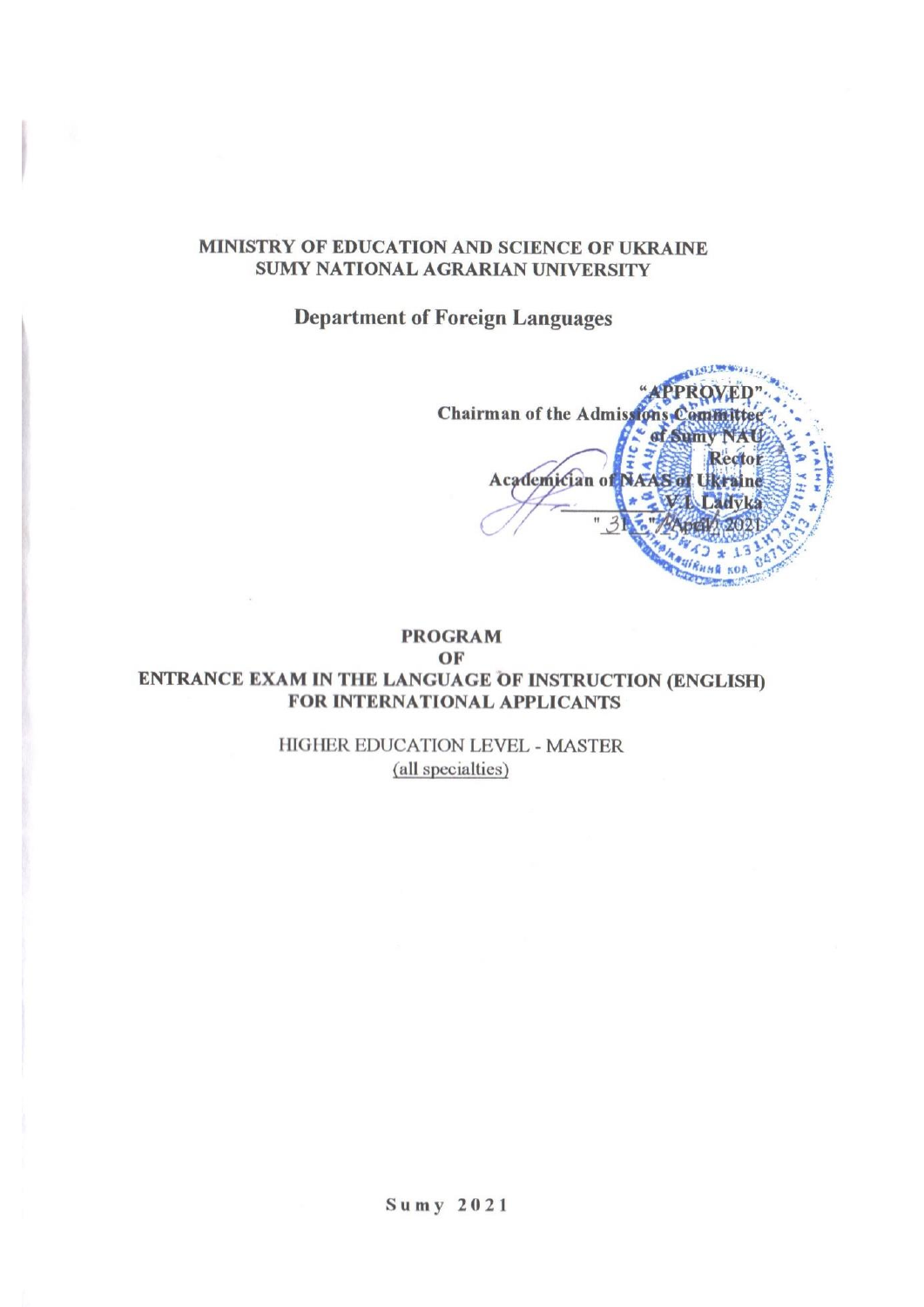#### MINISTRY OF EDUCATION AND SCIENCE OF UKRAINE **SUMY NATIONAL AGRARIAN UNIVERSITY**

**Department of Foreign Languages** 

Chairman of the Admissions Committe « af Sumv NA  $\frac{1}{4}$ Rector ř Academician of NAAS of U raine ŵ Ħ  $k$ 01

#### **PROGRAM** OF ENTRANCE EXAM IN THE LANGUAGE OF INSTRUCTION (ENGLISH) **FOR INTERNATIONAL APPLICANTS**

HIGHER EDUCATION LEVEL - MASTER (all specialties)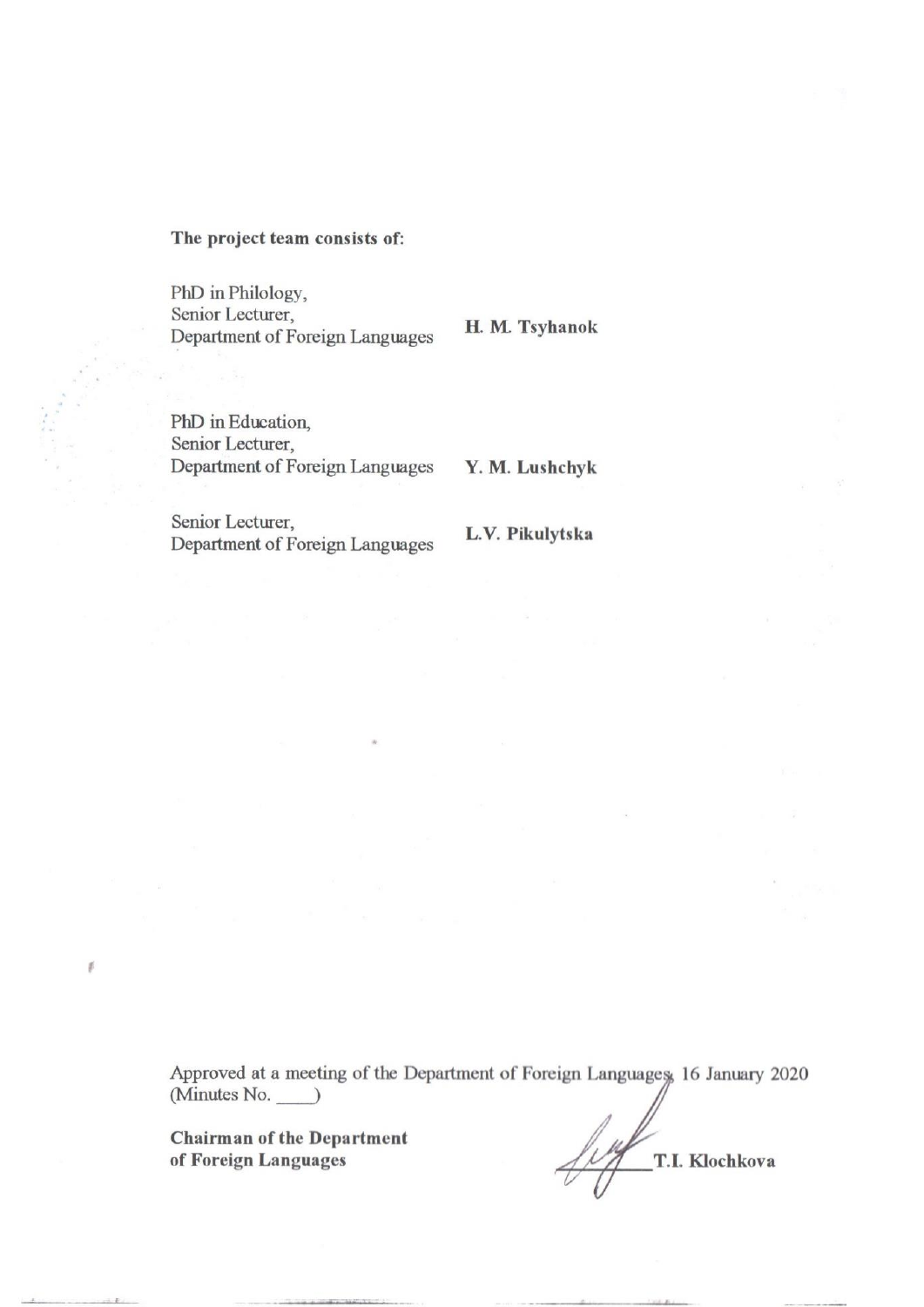#### The project team consists of:

PhD in Philology, Senior Lecturer, Department of Foreign Languages

H. M. Tsyhanok

PhD in Education, Senior Lecturer, Department of Foreign Languages

Y. M. Lushchyk

Senior Lecturer, Department of Foreign Languages

L.V. Pikulytska

Approved at a meeting of the Department of Foreign Languages, 16 January 2020  $(Minutes No. )$ 

**Chairman of the Department** of Foreign Languages

 $\beta$ 

T.I. Klochkova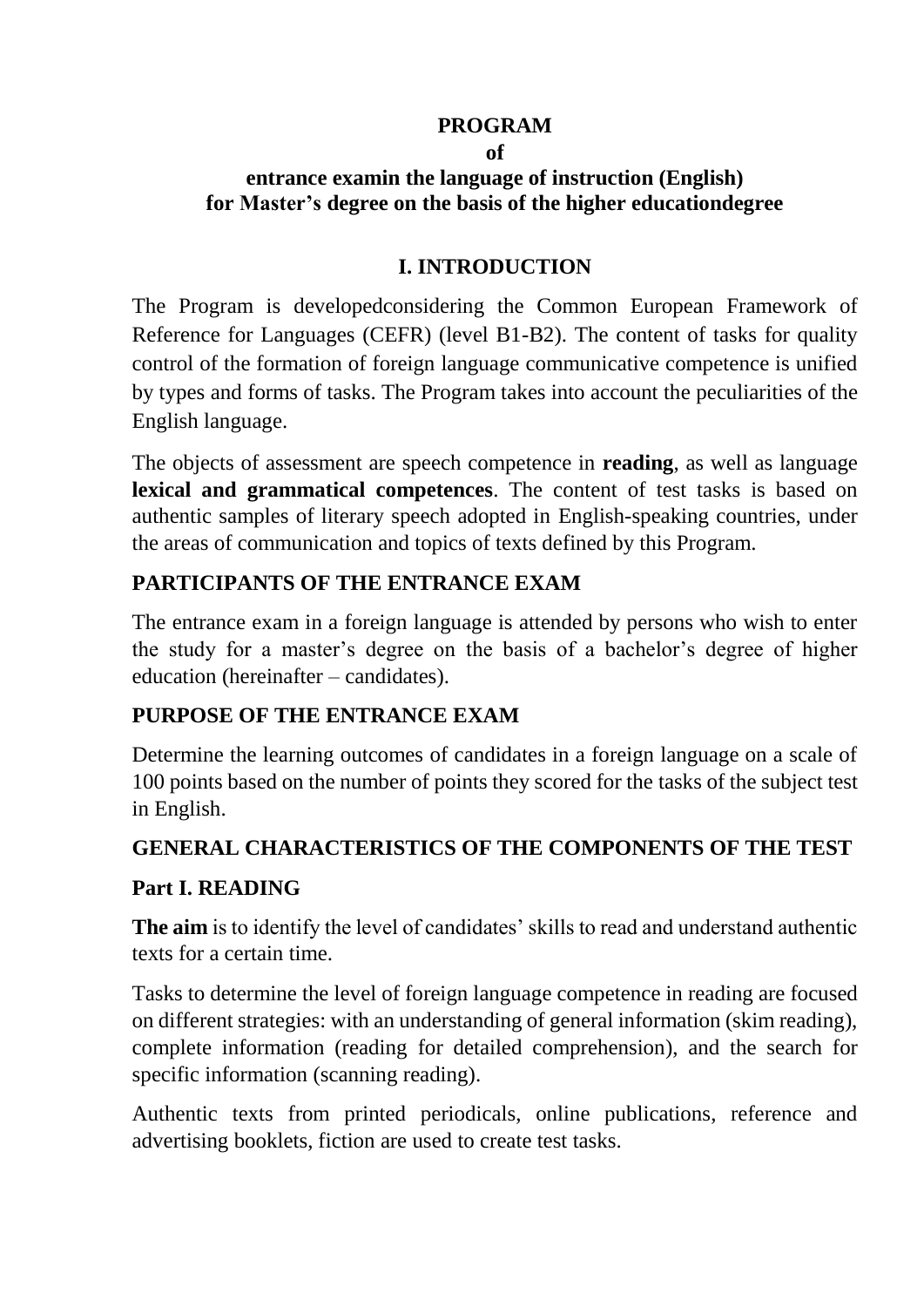### **PROGRAM**

#### **of entrance examin the language of instruction (English) for Master's degree on the basis of the higher educationdegree**

#### **I. INTRODUCTION**

The Program is developedconsidering the Common European Framework of Reference for Languages (CEFR) (level B1-B2). The content of tasks for quality control of the formation of foreign language communicative competence is unified by types and forms of tasks. The Program takes into account the peculiarities of the English language.

The objects of assessment are speech competence in **reading**, as well as language **lexical and grammatical competences**. The content of test tasks is based on authentic samples of literary speech adopted in English-speaking countries, under the areas of communication and topics of texts defined by this Program.

## **PARTICIPANTS OF THE ENTRANCE EXAM**

The entrance exam in a foreign language is attended by persons who wish to enter the study for a master's degree on the basis of a bachelor's degree of higher education (hereinafter – candidates).

# **PURPOSE OF THE ENTRANCE EXAM**

Determine the learning outcomes of candidates in a foreign language on a scale of 100 points based on the number of points they scored for the tasks of the subject test in English.

# **GENERAL CHARACTERISTICS OF THE COMPONENTS OF THE TEST**

## **Part I. READING**

**The aim** is to identify the level of candidates' skills to read and understand authentic texts for a certain time.

Tasks to determine the level of foreign language competence in reading are focused on different strategies: with an understanding of general information (skim reading), complete information (reading for detailed comprehension), and the search for specific information (scanning reading).

Authentic texts from printed periodicals, online publications, reference and advertising booklets, fiction are used to create test tasks.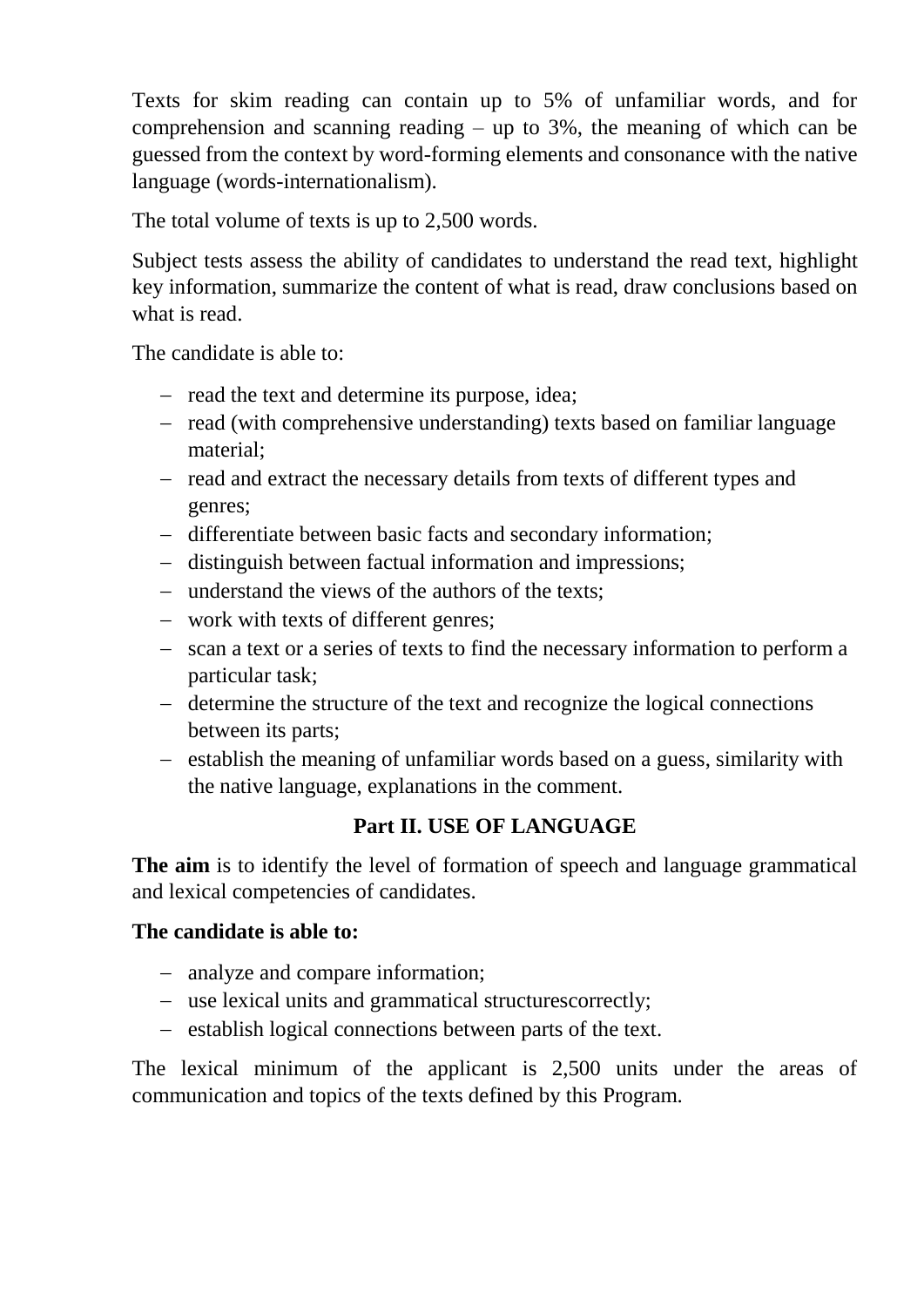Texts for skim reading can contain up to 5% of unfamiliar words, and for comprehension and scanning reading – up to  $3\%$ , the meaning of which can be guessed from the context by word-forming elements and consonance with the native language (words-internationalism).

The total volume of texts is up to 2,500 words.

Subject tests assess the ability of candidates to understand the read text, highlight key information, summarize the content of what is read, draw conclusions based on what is read.

The candidate is able to:

- $-$  read the text and determine its purpose, idea;
- read (with comprehensive understanding) texts based on familiar language material;
- read and extract the necessary details from texts of different types and genres;
- differentiate between basic facts and secondary information;
- distinguish between factual information and impressions;
- understand the views of the authors of the texts:
- work with texts of different genres;
- scan a text or a series of texts to find the necessary information to perform a particular task;
- determine the structure of the text and recognize the logical connections between its parts;
- establish the meaning of unfamiliar words based on a guess, similarity with the native language, explanations in the comment.

# **Part II. USE OF LANGUAGE**

**The aim** is to identify the level of formation of speech and language grammatical and lexical competencies of candidates.

## **The candidate is able to:**

- analyze and compare information;
- use lexical units and grammatical structurescorrectly;
- establish logical connections between parts of the text.

The lexical minimum of the applicant is 2,500 units under the areas of communication and topics of the texts defined by this Program.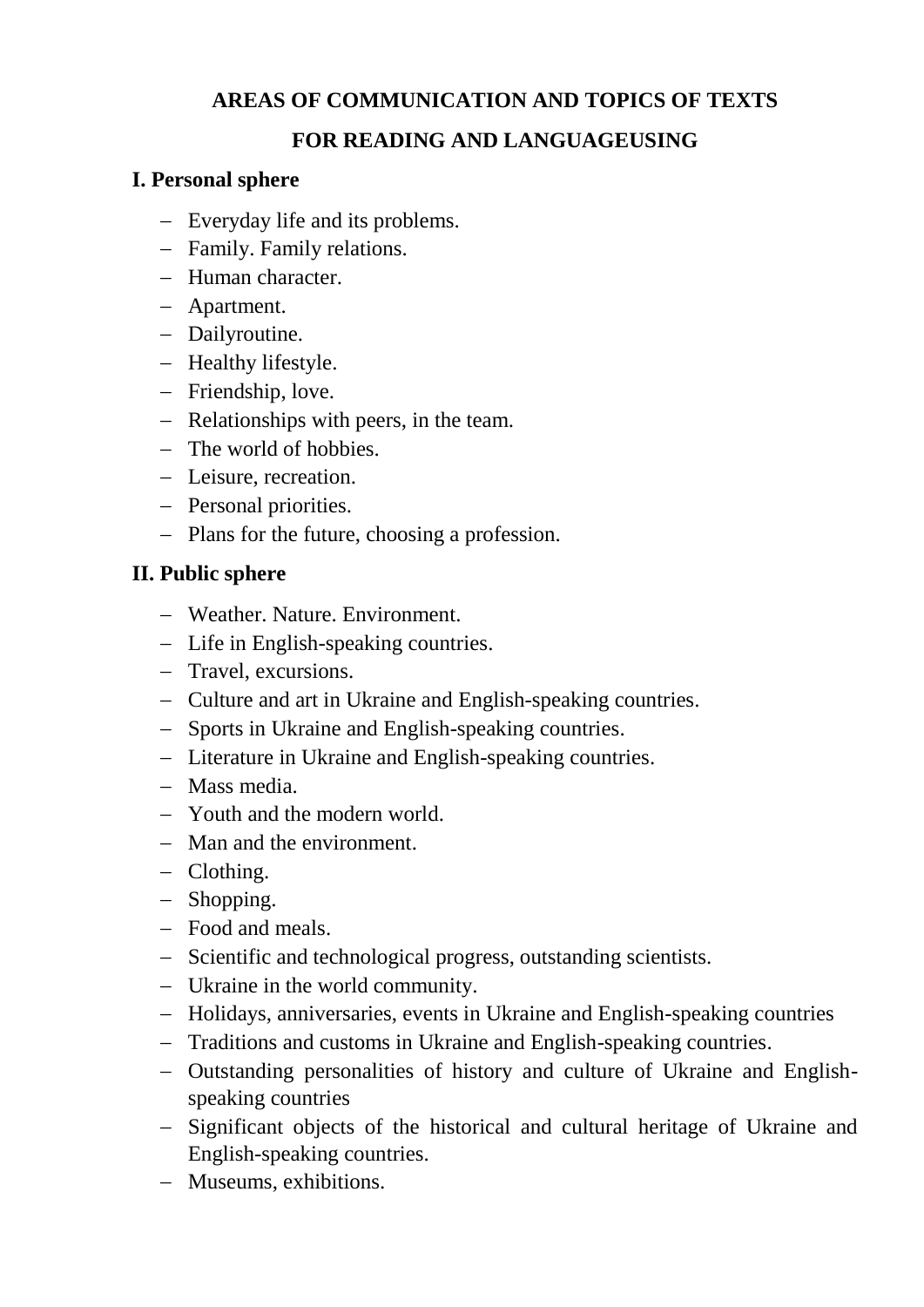# **AREAS OF COMMUNICATION AND TOPICS OF TEXTS**

### **FOR READING AND LANGUAGEUSING**

#### **I. Personal sphere**

- Everyday life and its problems.
- Family. Family relations.
- Human character.
- Apartment.
- Dailyroutine.
- Healthy lifestyle.
- Friendship, love.
- Relationships with peers, in the team.
- The world of hobbies.
- Leisure, recreation.
- Personal priorities.
- Plans for the future, choosing a profession.

### **II. Public sphere**

- Weather. Nature. Environment.
- Life in English-speaking countries.
- Travel, excursions.
- Culture and art in Ukraine and English-speaking countries.
- Sports in Ukraine and English-speaking countries.
- Literature in Ukraine and English-speaking countries.
- Mass media.
- Youth and the modern world.
- Man and the environment.
- Clothing.
- Shopping.
- Food and meals.
- Scientific and technological progress, outstanding scientists.
- Ukraine in the world community.
- Holidays, anniversaries, events in Ukraine and English-speaking countries
- Traditions and customs in Ukraine and English-speaking countries.
- Outstanding personalities of history and culture of Ukraine and Englishspeaking countries
- Significant objects of the historical and cultural heritage of Ukraine and English-speaking countries.
- Museums, exhibitions.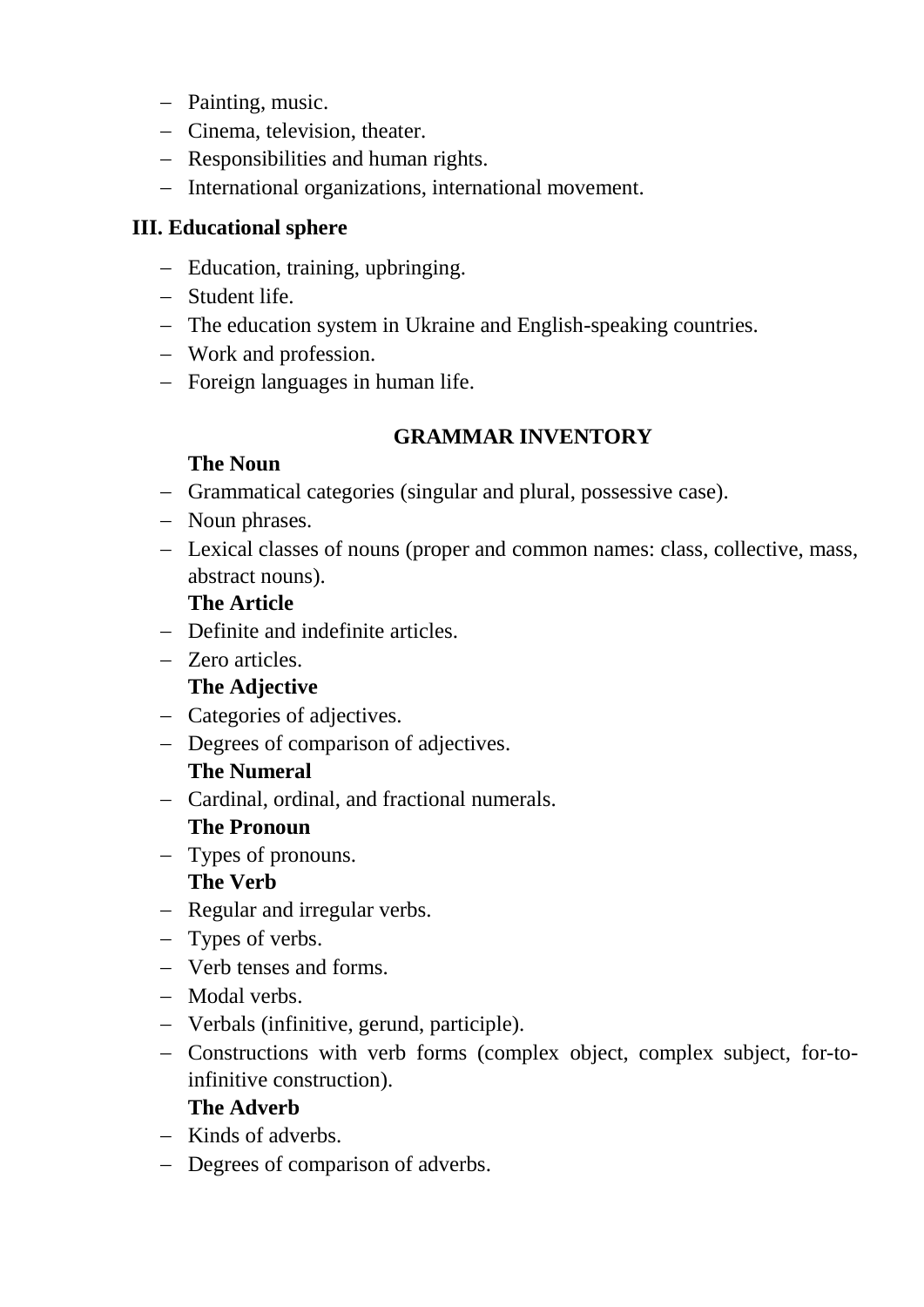- Painting, music.
- Cinema, television, theater.
- Responsibilities and human rights.
- International organizations, international movement.

## **III. Educational sphere**

- Education, training, upbringing.
- Student life.
- The education system in Ukraine and English-speaking countries.
- Work and profession.
- Foreign languages in human life.

# **GRAMMAR INVENTORY**

# **The Noun**

- Grammatical categories (singular and plural, possessive case).
- Noun phrases.
- Lexical classes of nouns (proper and common names: class, collective, mass, abstract nouns).

# **The Article**

- Definite and indefinite articles.
- Zero articles.

# **The Adjective**

- Categories of adjectives.
- Degrees of comparison of adjectives.

# **The Numeral**

Cardinal, ordinal, and fractional numerals.

# **The Pronoun**

- Types of pronouns. **The Verb**
- Regular and irregular verbs.
- Types of verbs.
- Verb tenses and forms.
- Modal verbs.
- Verbals (infinitive, gerund, participle).
- Constructions with verb forms (complex object, complex subject, for-toinfinitive construction).

## **The Adverb**

- $-$  Kinds of adverbs.
- Degrees of comparison of adverbs.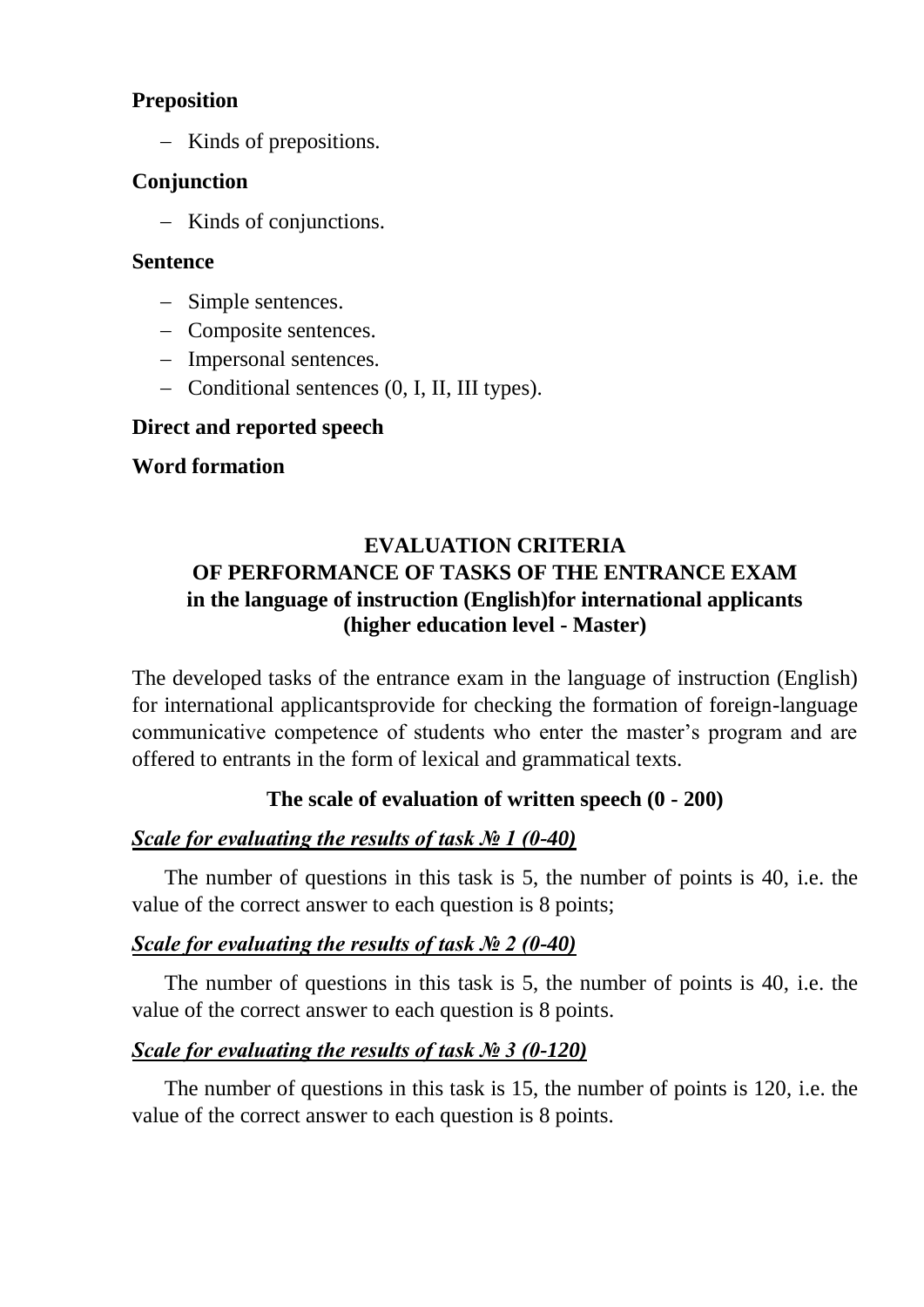## **Preposition**

- Kinds of prepositions.

### **Conjunction**

- Kinds of conjunctions.

#### **Sentence**

- Simple sentences.
- Composite sentences.
- Impersonal sentences.
- Conditional sentences (0, I, II, III types).

#### **Direct and reported speech**

### **Word formation**

# **EVALUATION CRITERIA OF PERFORMANCE OF TASKS OF THE ENTRANCE EXAM in the language of instruction (English)for international applicants (higher education level - Master)**

The developed tasks of the entrance exam in the language of instruction (English) for international applicantsprovide for checking the formation of foreign-language communicative competence of students who enter the master's program and are offered to entrants in the form of lexical and grammatical texts.

## **The scale of evaluation of written speech (0 - 200)**

## *Scale for evaluating the results of task № 1 (0-40)*

 The number of questions in this task is 5, the number of points is 40, i.e. the value of the correct answer to each question is 8 points;

## *Scale for evaluating the results of task № 2 (0-40)*

 The number of questions in this task is 5, the number of points is 40, i.e. the value of the correct answer to each question is 8 points.

## *Scale for evaluating the results of task № 3 (0-120)*

 The number of questions in this task is 15, the number of points is 120, i.e. the value of the correct answer to each question is 8 points.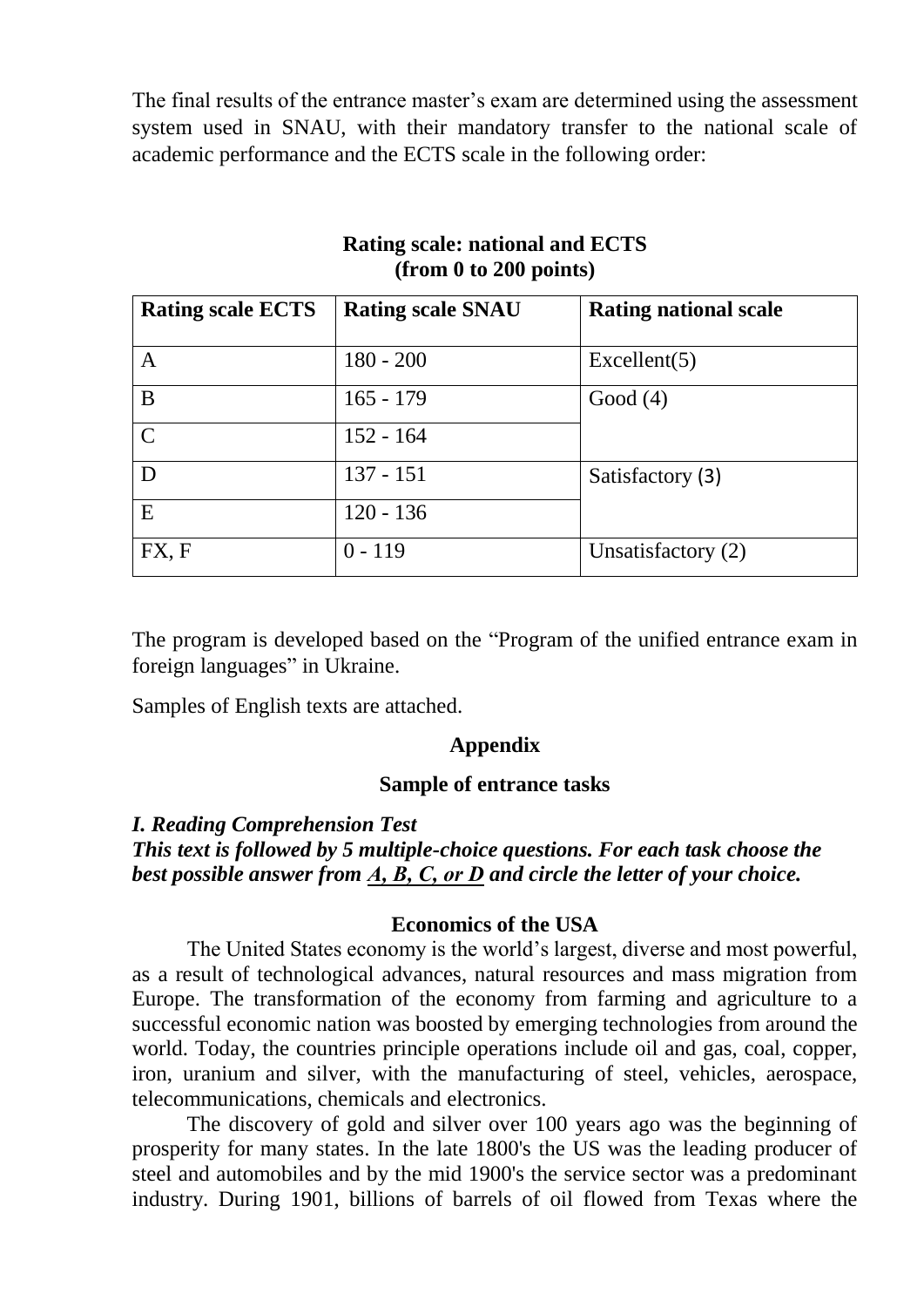The final results of the entrance master's exam are determined using the assessment system used in SNAU, with their mandatory transfer to the national scale of academic performance and the ECTS scale in the following order:

| <b>Rating scale ECTS</b> | <b>Rating scale SNAU</b> | <b>Rating national scale</b> |
|--------------------------|--------------------------|------------------------------|
| A                        | $180 - 200$              | Excellent(5)                 |
| B                        | $165 - 179$              | Good $(4)$                   |
| $\mathcal{C}$            | $152 - 164$              |                              |
| D                        | $137 - 151$              | Satisfactory (3)             |
| E                        | $120 - 136$              |                              |
| FX, F                    | $0 - 119$                | Unsatisfactory (2)           |

### **Rating scale: national and ECTS (from 0 to 200 points)**

The program is developed based on the "Program of the unified entrance exam in foreign languages" in Ukraine.

Samples of English texts are attached.

#### **Appendix**

#### **Sample of entrance tasks**

#### *I. Reading Comprehension Test*

### *This text is followed by 5 multiple-choice questions. For each task choose the best possible answer from А, В, С, or D and circle the letter of your choice.*

#### **Economics of the USA**

The United States economy is the world's largest, diverse and most powerful, as a result of technological advances, natural resources and mass migration from Europe. The transformation of the economy from farming and agriculture to a successful economic nation was boosted by emerging technologies from around the world. Today, the countries principle operations include oil and gas, coal, copper, iron, uranium and silver, with the manufacturing of steel, vehicles, aerospace, telecommunications, chemicals and electronics.

The discovery of gold and silver over 100 years ago was the beginning of prosperity for many states. In the late 1800's the US was the leading producer of steel and automobiles and by the mid 1900's the service sector was a predominant industry. During 1901, billions of barrels of oil flowed from Texas where the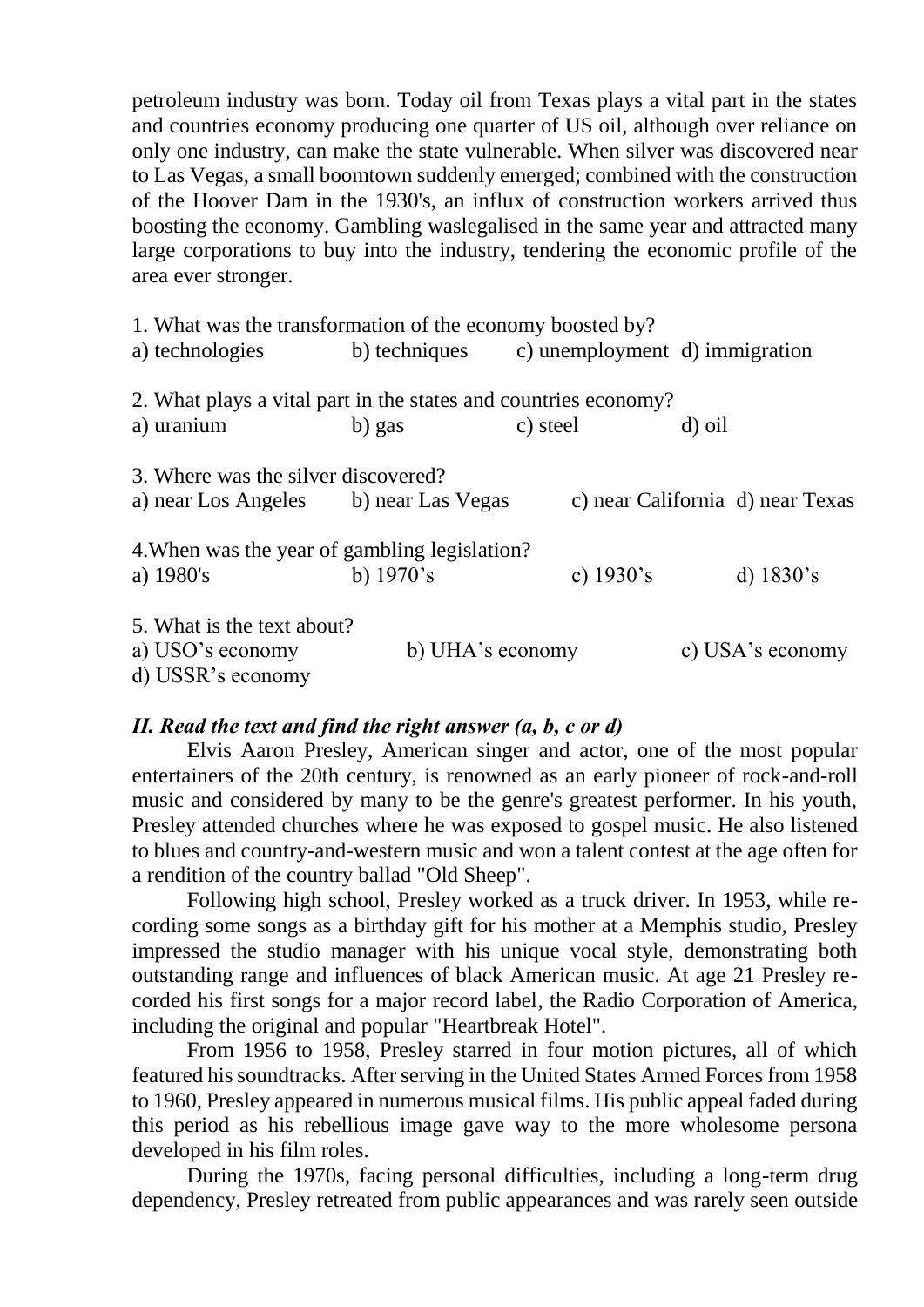petroleum industry was born. Today oil from Texas plays a vital part in the states and countries economy producing one quarter of US oil, although over reliance on only one industry, can make the state vulnerable. When silver was discovered near to Las Vegas, a small boomtown suddenly emerged; combined with the construction of the Hoover Dam in the 1930's, an influx of construction workers arrived thus boosting the economy. Gambling waslegalised in the same year and attracted many large corporations to buy into the industry, tendering the economic profile of the area ever stronger.

1. What was the transformation of the economy boosted by? a) technologies b) techniques c) unemployment d) immigration 2. What plays a vital part in the states and countries economy? a) uranium b) gas c) steel d) oil 3. Where was the silver discovered? a) near Los Angeles b) near Las Vegas c) near California d) near Texas 4.When was the year of gambling legislation? a) 1980's b) 1970's c) 1930's d) 1830's 5. What is the text about? a) USO's economy b) UHA's economy c) USA's economy d) USSR's economy

#### *ІІ. Read the text and find the right answer (a, b, c or d)*

Elvis Aaron Presley, American singer and actor, one of the most popular entertainers of the 20th century, is renowned as an early pioneer of rock-and-roll music and considered by many to be the genre's greatest performer. In his youth, Presley attended churches where he was exposed to gospel music. He also listened to blues and country-and-western music and won a talent contest at the age often for a rendition of the country ballad "Old Sheep".

Following high school, Presley worked as a truck driver. In 1953, while recording some songs as a birthday gift for his mother at a Memphis studio, Presley impressed the studio manager with his unique vocal style, demonstrating both outstanding range and influences of black American music. At age 21 Presley recorded his first songs for a major record label, the Radio Corporation of America, including the original and popular "Heartbreak Hotel".

From 1956 to 1958, Presley starred in four motion pictures, all of which featured his soundtracks. After serving in the United States Armed Forces from 1958 to 1960, Presley appeared in numerous musical films. His public appeal faded during this period as his rebellious image gave way to the more wholesome persona developed in his film roles.

During the 1970s, facing personal difficulties, including a long-term drug dependency, Presley retreated from public appearances and was rarely seen outside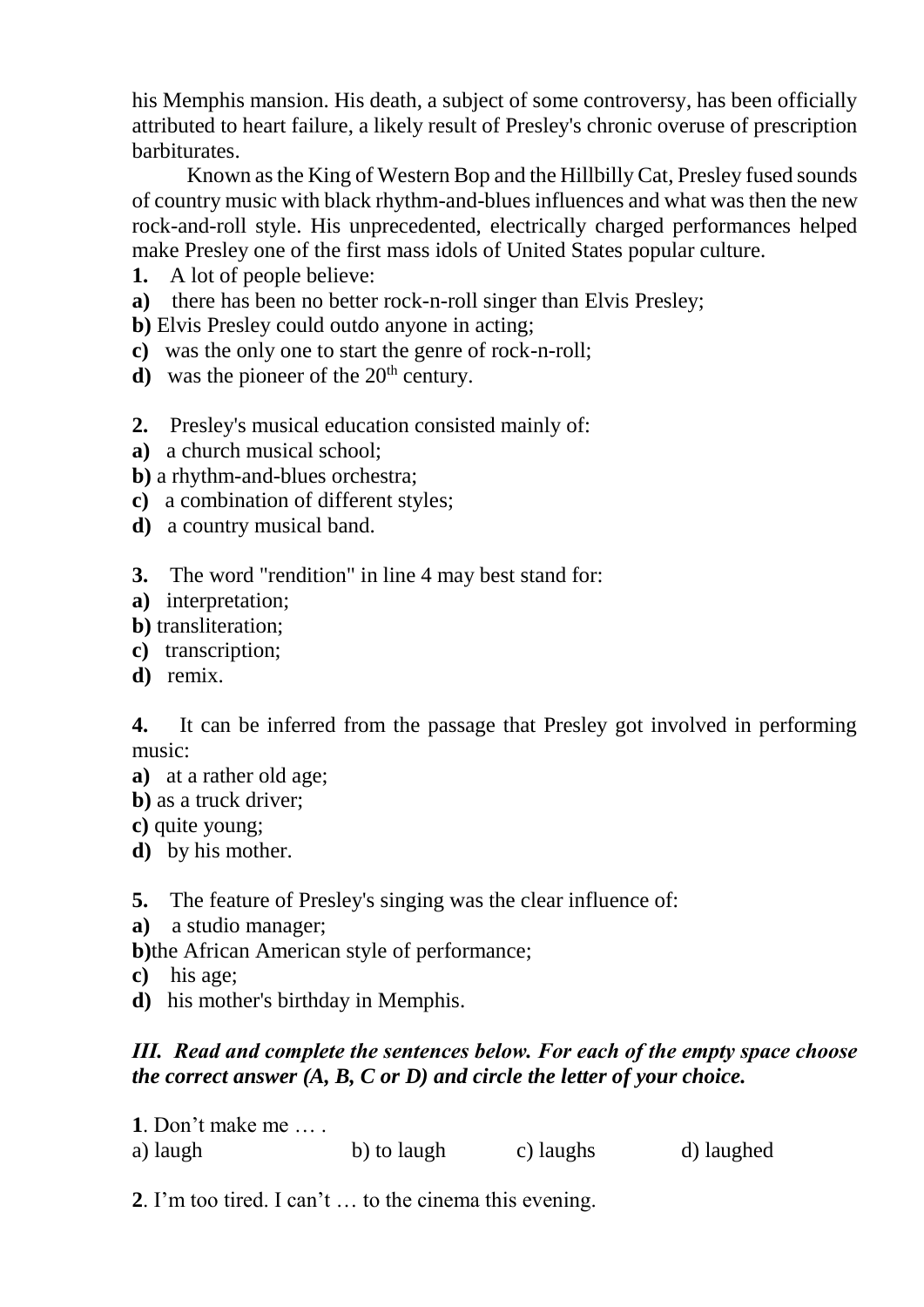his Memphis mansion. His death, a subject of some controversy, has been officially attributed to heart failure, a likely result of Presley's chronic overuse of prescription barbiturates.

Known as the King of Western Bop and the Hillbilly Cat, Presley fused sounds of country music with black rhythm-and-blues influences and what was then the new rock-and-roll style. His unprecedented, electrically charged performances helped make Presley one of the first mass idols of United States popular culture.

- **1.** A lot of people believe:
- **a)** there has been no better rock-n-roll singer than Elvis Presley;

**b)** Elvis Presley could outdo anyone in acting;

- **c)** was the only one to start the genre of rock-n-roll;
- **d**) was the pioneer of the  $20<sup>th</sup>$  century.
- **2.** Presley's musical education consisted mainly of:
- **a)** a church musical school;
- **b)** a rhythm-and-blues orchestra;
- **c)** a combination of different styles;
- **d)** a country musical band.

**3.** The word "rendition" in line 4 may best stand for:

- **a)** interpretation;
- **b)** transliteration;
- **c)** transcription;
- **d)** remix.

**4.** It can be inferred from the passage that Presley got involved in performing music:

- **a)** at a rather old age;
- **b)** as a truck driver;

**c)** quite young;

**d)** by his mother.

**5.** The feature of Presley's singing was the clear influence of:

- **a)** a studio manager;
- **b)**the African American style of performance;
- **c)** his age;
- **d)** his mother's birthday in Memphis.

## *ІІІ. Read and complete the sentences below. For each of the empty space choose the correct answer (A, B, C or D) and circle the letter of your choice.*

**1**. Don't make me … . a) laugh b) to laugh c) laughs d) laughed

**2**. I'm too tired. I can't … to the cinema this evening.